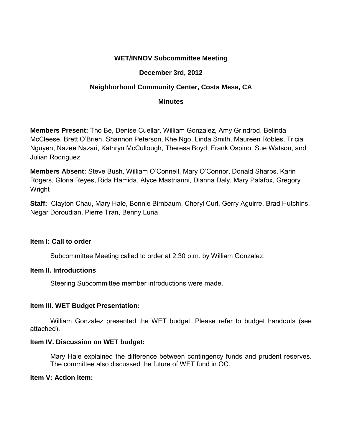# **WET/INNOV Subcommittee Meeting**

## **December 3rd, 2012**

# **Neighborhood Community Center, Costa Mesa, CA**

### **Minutes**

**Members Present:** Tho Be, Denise Cuellar, William Gonzalez, Amy Grindrod, Belinda McCleese, Brett O'Brien, Shannon Peterson, Khe Ngo, Linda Smith, Maureen Robles, Tricia Nguyen, Nazee Nazari, Kathryn McCullough, Theresa Boyd, Frank Ospino, Sue Watson, and Julian Rodriguez

**Members Absent:** Steve Bush, William O'Connell, Mary O'Connor, Donald Sharps, Karin Rogers, Gloria Reyes, Rida Hamida, Alyce Mastrianni, Dianna Daly, Mary Palafox, Gregory Wright

**Staff:** Clayton Chau, Mary Hale, Bonnie Birnbaum, Cheryl Curl, Gerry Aguirre, Brad Hutchins, Negar Doroudian, Pierre Tran, Benny Luna

#### **Item I: Call to order**

Subcommittee Meeting called to order at 2:30 p.m. by William Gonzalez.

## **Item II. Introductions**

Steering Subcommittee member introductions were made.

## **Item III. WET Budget Presentation:**

 William Gonzalez presented the WET budget. Please refer to budget handouts (see attached).

#### **Item IV. Discussion on WET budget:**

Mary Hale explained the difference between contingency funds and prudent reserves. The committee also discussed the future of WET fund in OC.

#### **Item V: Action Item:**